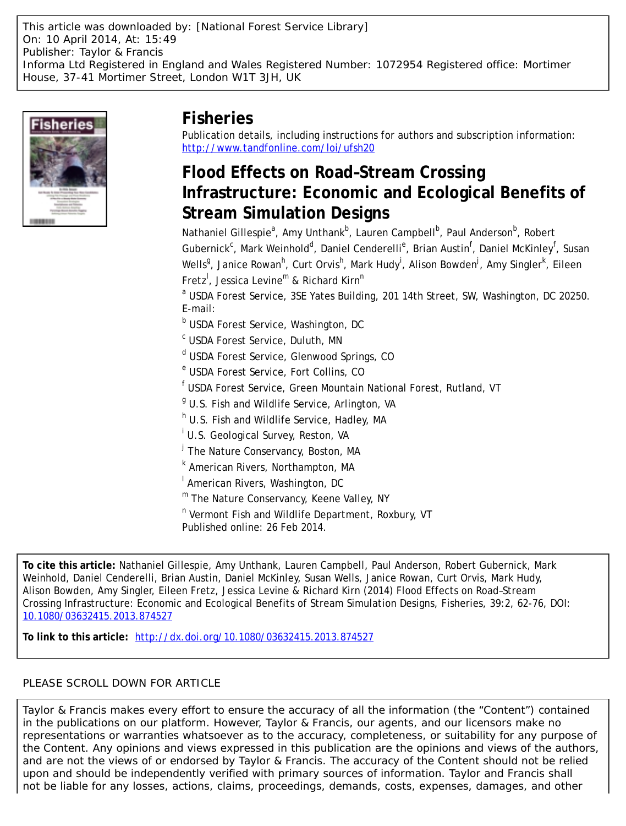This article was downloaded by: [National Forest Service Library] On: 10 April 2014, At: 15:49 Publisher: Taylor & Francis Informa Ltd Registered in England and Wales Registered Number: 1072954 Registered office: Mortimer House, 37-41 Mortimer Street, London W1T 3JH, UK



# **Fisheries**

Publication details, including instructions for authors and subscription information: <http://www.tandfonline.com/loi/ufsh20>

# **Flood Effects on Road–Stream Crossing Infrastructure: Economic and Ecological Benefits of Stream Simulation Designs**

Nathaniel Gillespie<sup>a</sup>, Amy Unthank<sup>b</sup>, Lauren Campbell<sup>b</sup>, Paul Anderson<sup>b</sup>, Robert Gubernick<sup>c</sup>, Mark Weinhold<sup>d</sup>, Daniel Cenderelli<sup>e</sup>, Brian Austin<sup>f</sup>, Daniel McKinley<sup>f</sup>, Susan Wells<sup>g</sup>, Janice Rowan<sup>h</sup>, Curt Orvis<sup>h</sup>, Mark Hudy<sup>i</sup>, Alison Bowden<sup>j</sup>, Amy Singler<sup>k</sup>, Eileen Fretz<sup>I</sup>, Jessica Levine<sup>m</sup> & Richard Kirn<sup>n</sup>

<sup>a</sup> USDA Forest Service, 3SE Yates Building, 201 14th Street, SW, Washington, DC 20250. E-mail:

- **b** USDA Forest Service, Washington, DC
- <sup>c</sup> USDA Forest Service, Duluth, MN
- <sup>d</sup> USDA Forest Service, Glenwood Springs, CO
- <sup>e</sup> USDA Forest Service, Fort Collins, CO
- <sup>f</sup> USDA Forest Service, Green Mountain National Forest, Rutland, VT
- <sup>g</sup> U.S. Fish and Wildlife Service, Arlington, VA
- <sup>h</sup> U.S. Fish and Wildlife Service, Hadley, MA
- <sup>i</sup> U.S. Geological Survey, Reston, VA
- <sup>j</sup> The Nature Conservancy, Boston, MA
- k American Rivers, Northampton, MA
- <sup>1</sup> American Rivers, Washington, DC
- m The Nature Conservancy, Keene Valley, NY
- <sup>n</sup> Vermont Fish and Wildlife Department, Roxbury, VT Published online: 26 Feb 2014.

**To cite this article:** Nathaniel Gillespie, Amy Unthank, Lauren Campbell, Paul Anderson, Robert Gubernick, Mark Weinhold, Daniel Cenderelli, Brian Austin, Daniel McKinley, Susan Wells, Janice Rowan, Curt Orvis, Mark Hudy, Alison Bowden, Amy Singler, Eileen Fretz, Jessica Levine & Richard Kirn (2014) Flood Effects on Road–Stream Crossing Infrastructure: Economic and Ecological Benefits of Stream Simulation Designs, Fisheries, 39:2, 62-76, DOI: [10.1080/03632415.2013.874527](http://www.tandfonline.com/action/showCitFormats?doi=10.1080/03632415.2013.874527)

**To link to this article:** <http://dx.doi.org/10.1080/03632415.2013.874527>

#### PLEASE SCROLL DOWN FOR ARTICLE

Taylor & Francis makes every effort to ensure the accuracy of all the information (the "Content") contained in the publications on our platform. However, Taylor & Francis, our agents, and our licensors make no representations or warranties whatsoever as to the accuracy, completeness, or suitability for any purpose of the Content. Any opinions and views expressed in this publication are the opinions and views of the authors, and are not the views of or endorsed by Taylor & Francis. The accuracy of the Content should not be relied upon and should be independently verified with primary sources of information. Taylor and Francis shall not be liable for any losses, actions, claims, proceedings, demands, costs, expenses, damages, and other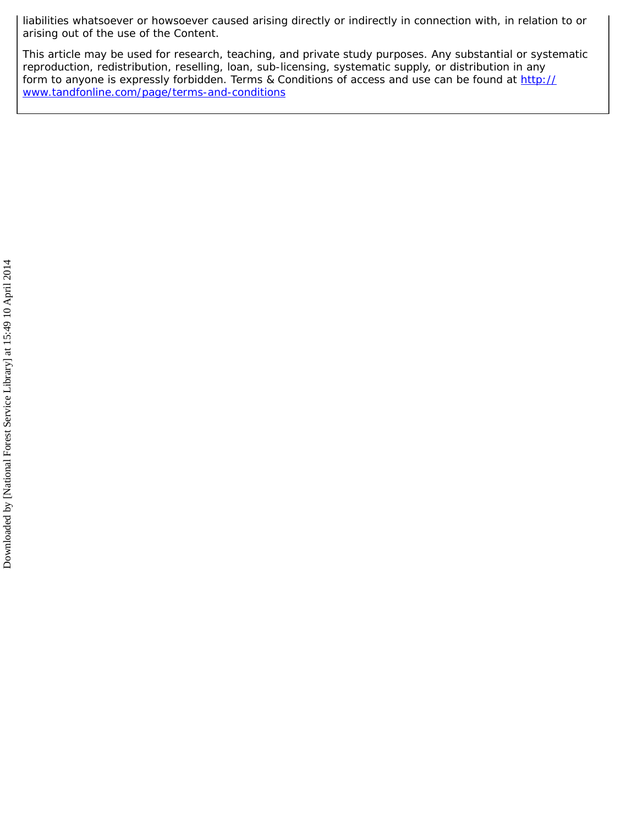liabilities whatsoever or howsoever caused arising directly or indirectly in connection with, in relation to or arising out of the use of the Content.

This article may be used for research, teaching, and private study purposes. Any substantial or systematic reproduction, redistribution, reselling, loan, sub-licensing, systematic supply, or distribution in any form to anyone is expressly forbidden. Terms & Conditions of access and use can be found at [http://](http://www.tandfonline.com/page/terms-and-conditions) [www.tandfonline.com/page/terms-and-conditions](http://www.tandfonline.com/page/terms-and-conditions)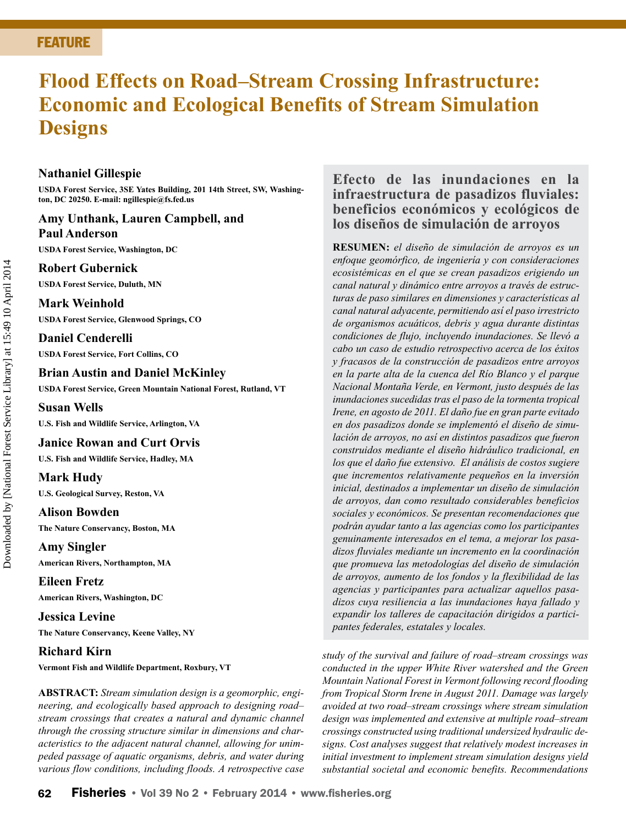# **FEATURE**

# **Flood Effects on Road–Stream Crossing Infrastructure: Economic and Ecological Benefits of Stream Simulation Designs**

## **Nathaniel Gillespie**

**USDA Forest Service, 3SE Yates Building, 201 14th Street, SW, Washington, DC 20250. E-mail: ngillespie@fs.fed.us**

### **Amy Unthank, Lauren Campbell, and Paul Anderson**

**USDA Forest Service, Washington, DC**

**Robert Gubernick**

**USDA Forest Service, Duluth, MN**

**Mark Weinhold**

**USDA Forest Service, Glenwood Springs, CO**

**Daniel Cenderelli**

**USDA Forest Service, Fort Collins, CO**

**Brian Austin and Daniel McKinley**

**USDA Forest Service, Green Mountain National Forest, Rutland, VT**

#### **Susan Wells**

**U.S. Fish and Wildlife Service, Arlington, VA**

#### **Janice Rowan and Curt Orvis**

**U.S. Fish and Wildlife Service, Hadley, MA**

#### **Mark Hudy**

**U.S. Geological Survey, Reston, VA**

#### **Alison Bowden**

**The Nature Conservancy, Boston, MA**

#### **Amy Singler**

**American Rivers, Northampton, MA**

#### **Eileen Fretz**

**American Rivers, Washington, DC**

**Jessica Levine**

**The Nature Conservancy, Keene Valley, NY**

#### **Richard Kirn**

**Vermont Fish and Wildlife Department, Roxbury, VT**

**Abstract:** *Stream simulation design is a geomorphic, engineering, and ecologically based approach to designing road– stream crossings that creates a natural and dynamic channel through the crossing structure similar in dimensions and characteristics to the adjacent natural channel, allowing for unimpeded passage of aquatic organisms, debris, and water during various flow conditions, including floods. A retrospective case* 

# **Efecto de las inundaciones en la infraestructura de pasadizos fluviales: beneficios económicos y ecológicos de los diseños de simulación de arroyos**

**RESUMEN:** *el diseño de simulación de arroyos es un enfoque geomórfico, de ingeniería y con consideraciones ecosistémicas en el que se crean pasadizos erigiendo un canal natural y dinámico entre arroyos a través de estructuras de paso similares en dimensiones y características al canal natural adyacente, permitiendo así el paso irrestricto de organismos acuáticos, debris y agua durante distintas condiciones de flujo, incluyendo inundaciones. Se llevó a cabo un caso de estudio retrospectivo acerca de los éxitos y fracasos de la construcción de pasadizos entre arroyos en la parte alta de la cuenca del Río Blanco y el parque Nacional Montaña Verde, en Vermont, justo después de las inundaciones sucedidas tras el paso de la tormenta tropical Irene, en agosto de 2011. El daño fue en gran parte evitado en dos pasadizos donde se implementó el diseño de simulación de arroyos, no así en distintos pasadizos que fueron construidos mediante el diseño hidráulico tradicional, en los que el daño fue extensivo. El análisis de costos sugiere que incrementos relativamente pequeños en la inversión inicial, destinados a implementar un diseño de simulación de arroyos, dan como resultado considerables beneficios sociales y económicos. Se presentan recomendaciones que podrán ayudar tanto a las agencias como los participantes genuinamente interesados en el tema, a mejorar los pasadizos fluviales mediante un incremento en la coordinación que promueva las metodologías del diseño de simulación de arroyos, aumento de los fondos y la flexibilidad de las agencias y participantes para actualizar aquellos pasadizos cuya resiliencia a las inundaciones haya fallado y expandir los talleres de capacitación dirigidos a participantes federales, estatales y locales.*

*study of the survival and failure of road–stream crossings was conducted in the upper White River watershed and the Green Mountain National Forest in Vermont following record flooding from Tropical Storm Irene in August 2011. Damage was largely avoided at two road–stream crossings where stream simulation design was implemented and extensive at multiple road–stream crossings constructed using traditional undersized hydraulic designs. Cost analyses suggest that relatively modest increases in initial investment to implement stream simulation designs yield substantial societal and economic benefits. Recommendations*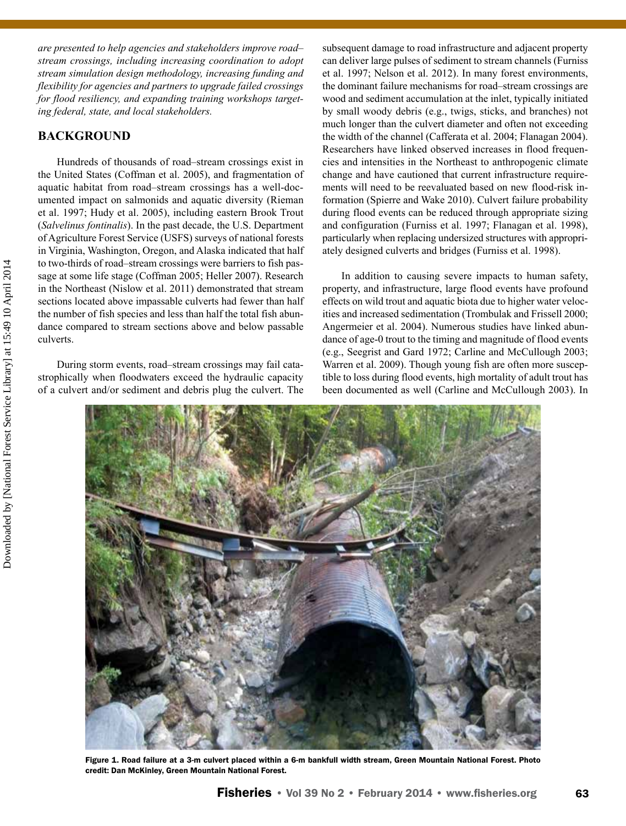*are presented to help agencies and stakeholders improve road– stream crossings, including increasing coordination to adopt stream simulation design methodology, increasing funding and flexibility for agencies and partners to upgrade failed crossings for flood resiliency, and expanding training workshops targeting federal, state, and local stakeholders.*

#### **BACKGROUND**

Hundreds of thousands of road–stream crossings exist in the United States (Coffman et al. 2005), and fragmentation of aquatic habitat from road–stream crossings has a well-documented impact on salmonids and aquatic diversity (Rieman et al. 1997; Hudy et al. 2005), including eastern Brook Trout (*Salvelinus fontinalis*). In the past decade, the U.S. Department of Agriculture Forest Service (USFS) surveys of national forests in Virginia, Washington, Oregon, and Alaska indicated that half to two-thirds of road–stream crossings were barriers to fish passage at some life stage (Coffman 2005; Heller 2007). Research in the Northeast (Nislow et al. 2011) demonstrated that stream sections located above impassable culverts had fewer than half the number of fish species and less than half the total fish abundance compared to stream sections above and below passable culverts.

During storm events, road–stream crossings may fail catastrophically when floodwaters exceed the hydraulic capacity of a culvert and/or sediment and debris plug the culvert. The subsequent damage to road infrastructure and adjacent property can deliver large pulses of sediment to stream channels (Furniss et al. 1997; Nelson et al. 2012). In many forest environments, the dominant failure mechanisms for road–stream crossings are wood and sediment accumulation at the inlet, typically initiated by small woody debris (e.g., twigs, sticks, and branches) not much longer than the culvert diameter and often not exceeding the width of the channel (Cafferata et al. 2004; Flanagan 2004). Researchers have linked observed increases in flood frequencies and intensities in the Northeast to anthropogenic climate change and have cautioned that current infrastructure requirements will need to be reevaluated based on new flood-risk information (Spierre and Wake 2010). Culvert failure probability during flood events can be reduced through appropriate sizing and configuration (Furniss et al. 1997; Flanagan et al. 1998), particularly when replacing undersized structures with appropriately designed culverts and bridges (Furniss et al. 1998).

In addition to causing severe impacts to human safety, property, and infrastructure, large flood events have profound effects on wild trout and aquatic biota due to higher water velocities and increased sedimentation (Trombulak and Frissell 2000; Angermeier et al. 2004). Numerous studies have linked abundance of age-0 trout to the timing and magnitude of flood events (e.g., Seegrist and Gard 1972; Carline and McCullough 2003; Warren et al. 2009). Though young fish are often more susceptible to loss during flood events, high mortality of adult trout has been documented as well (Carline and McCullough 2003). In



Figure 1. Road failure at a 3-m culvert placed within a 6-m bankfull width stream, Green Mountain National Forest. Photo credit: Dan McKinley, Green Mountain National Forest.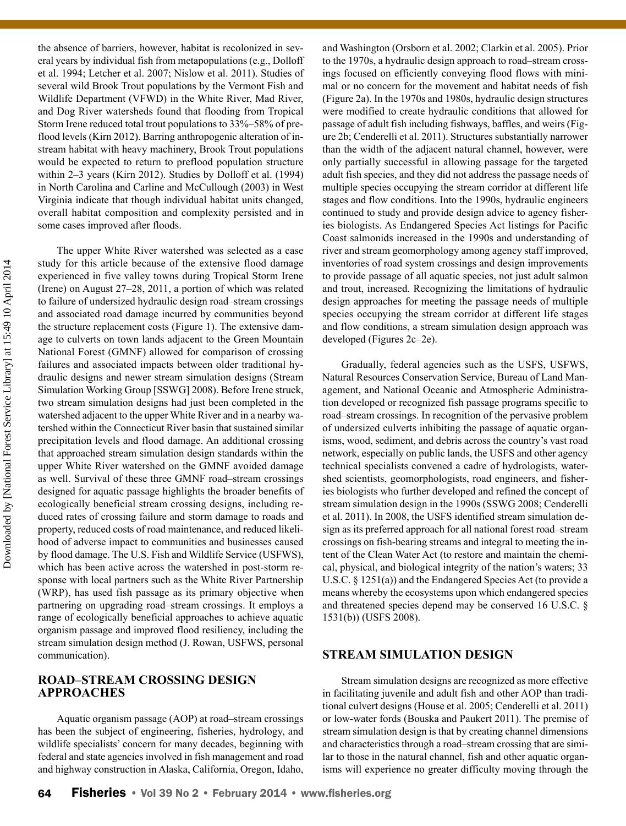the absence of barriers, however, habitat is recolonized in several years by individual fish from metapopulations (e.g., Dolloff et al. 1994; Letcher et al. 2007; Nislow et al. 2011). Studies of several wild Brook Trout populations by the Vermont Fish and Wildlife Department (VFWD) in the White River, Mad River, and Dog River watersheds found that flooding from Tropical Storm Irene reduced total trout populations to 33%–58% of preflood levels (Kirn 2012). Barring anthropogenic alteration of instream habitat with heavy machinery, Brook Trout populations would be expected to return to preflood population structure within 2–3 years (Kirn 2012). Studies by Dolloff et al. (1994) in North Carolina and Carline and McCullough (2003) in West Virginia indicate that though individual habitat units changed, overall habitat composition and complexity persisted and in some cases improved after floods.

The upper White River watershed was selected as a case study for this article because of the extensive flood damage experienced in five valley towns during Tropical Storm Irene (Irene) on August 27–28, 2011, a portion of which was related to failure of undersized hydraulic design road–stream crossings and associated road damage incurred by communities beyond the structure replacement costs (Figure 1). The extensive damage to culverts on town lands adjacent to the Green Mountain National Forest (GMNF) allowed for comparison of crossing failures and associated impacts between older traditional hydraulic designs and newer stream simulation designs (Stream Simulation Working Group [SSWG] 2008). Before Irene struck, two stream simulation designs had just been completed in the watershed adjacent to the upper White River and in a nearby watershed within the Connecticut River basin that sustained similar precipitation levels and flood damage. An additional crossing that approached stream simulation design standards within the upper White River watershed on the GMNF avoided damage as well. Survival of these three GMNF road–stream crossings designed for aquatic passage highlights the broader benefits of ecologically beneficial stream crossing designs, including reduced rates of crossing failure and storm damage to roads and property, reduced costs of road maintenance, and reduced likelihood of adverse impact to communities and businesses caused by flood damage. The U.S. Fish and Wildlife Service (USFWS), which has been active across the watershed in post-storm response with local partners such as the White River Partnership (WRP), has used fish passage as its primary objective when partnering on upgrading road–stream crossings. It employs a range of ecologically beneficial approaches to achieve aquatic organism passage and improved flood resiliency, including the stream simulation design method (J. Rowan, USFWS, personal communication).

#### **ROAD–STREAM CROSSING DESIGN APPROACHES**

Aquatic organism passage (AOP) at road–stream crossings has been the subject of engineering, fisheries, hydrology, and wildlife specialists' concern for many decades, beginning with federal and state agencies involved in fish management and road and highway construction in Alaska, California, Oregon, Idaho, and Washington (Orsborn et al. 2002; Clarkin et al. 2005). Prior to the 1970s, a hydraulic design approach to road–stream crossings focused on efficiently conveying flood flows with minimal or no concern for the movement and habitat needs of fish (Figure 2a). In the 1970s and 1980s, hydraulic design structures were modified to create hydraulic conditions that allowed for passage of adult fish including fishways, baffles, and weirs (Figure 2b; Cenderelli et al. 2011). Structures substantially narrower than the width of the adjacent natural channel, however, were only partially successful in allowing passage for the targeted adult fish species, and they did not address the passage needs of multiple species occupying the stream corridor at different life stages and flow conditions. Into the 1990s, hydraulic engineers continued to study and provide design advice to agency fisheries biologists. As Endangered Species Act listings for Pacific Coast salmonids increased in the 1990s and understanding of river and stream geomorphology among agency staff improved, inventories of road system crossings and design improvements to provide passage of all aquatic species, not just adult salmon and trout, increased. Recognizing the limitations of hydraulic design approaches for meeting the passage needs of multiple species occupying the stream corridor at different life stages and flow conditions, a stream simulation design approach was developed (Figures 2c–2e).

Gradually, federal agencies such as the USFS, USFWS, Natural Resources Conservation Service, Bureau of Land Management, and National Oceanic and Atmospheric Administration developed or recognized fish passage programs specific to road–stream crossings. In recognition of the pervasive problem of undersized culverts inhibiting the passage of aquatic organisms, wood, sediment, and debris across the country's vast road network, especially on public lands, the USFS and other agency technical specialists convened a cadre of hydrologists, watershed scientists, geomorphologists, road engineers, and fisheries biologists who further developed and refined the concept of stream simulation design in the 1990s (SSWG 2008; Cenderelli et al. 2011). In 2008, the USFS identified stream simulation design as its preferred approach for all national forest road–stream crossings on fish-bearing streams and integral to meeting the intent of the Clean Water Act (to restore and maintain the chemical, physical, and biological integrity of the nation's waters; 33 U.S.C. § 1251(a)) and the Endangered Species Act (to provide a means whereby the ecosystems upon which endangered species and threatened species depend may be conserved 16 U.S.C. § 1531(b)) (USFS 2008).

#### **STREAM SIMULATION DESIGN**

Stream simulation designs are recognized as more effective in facilitating juvenile and adult fish and other AOP than traditional culvert designs (House et al. 2005; Cenderelli et al. 2011) or low-water fords (Bouska and Paukert 2011). The premise of stream simulation design is that by creating channel dimensions and characteristics through a road–stream crossing that are similar to those in the natural channel, fish and other aquatic organisms will experience no greater difficulty moving through the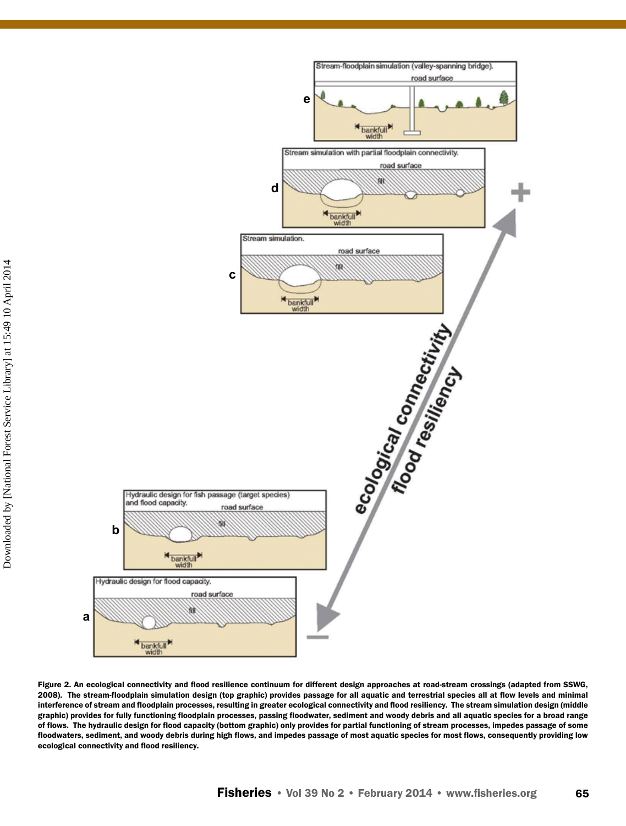

Figure 2. An ecological connectivity and flood resilience continuum for different design approaches at road-stream crossings (adapted from SSWG, 2008). The stream-floodplain simulation design (top graphic) provides passage for all aquatic and terrestrial species all at flow levels and minimal interference of stream and floodplain processes, resulting in greater ecological connectivity and flood resiliency. The stream simulation design (middle graphic) provides for fully functioning floodplain processes, passing floodwater, sediment and woody debris and all aquatic species for a broad range of flows. The hydraulic design for flood capacity (bottom graphic) only provides for partial functioning of stream processes, impedes passage of some floodwaters, sediment, and woody debris during high flows, and impedes passage of most aquatic species for most flows, consequently providing low ecological connectivity and flood resiliency.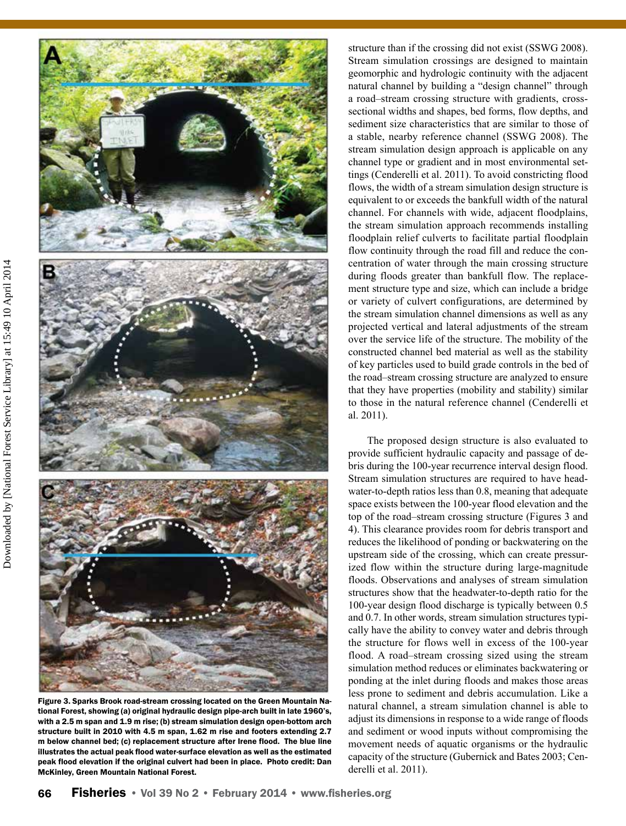

Figure 3. Sparks Brook road-stream crossing located on the Green Mountain National Forest, showing (a) original hydraulic design pipe-arch built in late 1960's, with a 2.5 m span and 1.9 m rise; (b) stream simulation design open-bottom arch structure built in 2010 with 4.5 m span, 1.62 m rise and footers extending 2.7 m below channel bed; (c) replacement structure after Irene flood. The blue line illustrates the actual peak flood water-surface elevation as well as the estimated peak flood elevation if the original culvert had been in place. Photo credit: Dan McKinley, Green Mountain National Forest.

structure than if the crossing did not exist (SSWG 2008). Stream simulation crossings are designed to maintain geomorphic and hydrologic continuity with the adjacent natural channel by building a "design channel" through a road–stream crossing structure with gradients, crosssectional widths and shapes, bed forms, flow depths, and sediment size characteristics that are similar to those of a stable, nearby reference channel (SSWG 2008). The stream simulation design approach is applicable on any channel type or gradient and in most environmental settings (Cenderelli et al. 2011). To avoid constricting flood flows, the width of a stream simulation design structure is equivalent to or exceeds the bankfull width of the natural channel. For channels with wide, adjacent floodplains, the stream simulation approach recommends installing floodplain relief culverts to facilitate partial floodplain flow continuity through the road fill and reduce the concentration of water through the main crossing structure during floods greater than bankfull flow. The replacement structure type and size, which can include a bridge or variety of culvert configurations, are determined by the stream simulation channel dimensions as well as any projected vertical and lateral adjustments of the stream over the service life of the structure. The mobility of the constructed channel bed material as well as the stability of key particles used to build grade controls in the bed of the road–stream crossing structure are analyzed to ensure that they have properties (mobility and stability) similar to those in the natural reference channel (Cenderelli et al. 2011).

The proposed design structure is also evaluated to provide sufficient hydraulic capacity and passage of debris during the 100-year recurrence interval design flood. Stream simulation structures are required to have headwater-to-depth ratios less than 0.8, meaning that adequate space exists between the 100-year flood elevation and the top of the road–stream crossing structure (Figures 3 and 4). This clearance provides room for debris transport and reduces the likelihood of ponding or backwatering on the upstream side of the crossing, which can create pressurized flow within the structure during large-magnitude floods. Observations and analyses of stream simulation structures show that the headwater-to-depth ratio for the 100-year design flood discharge is typically between 0.5 and 0.7. In other words, stream simulation structures typically have the ability to convey water and debris through the structure for flows well in excess of the 100-year flood. A road–stream crossing sized using the stream simulation method reduces or eliminates backwatering or ponding at the inlet during floods and makes those areas less prone to sediment and debris accumulation. Like a natural channel, a stream simulation channel is able to adjust its dimensions in response to a wide range of floods and sediment or wood inputs without compromising the movement needs of aquatic organisms or the hydraulic capacity of the structure (Gubernick and Bates 2003; Cenderelli et al. 2011).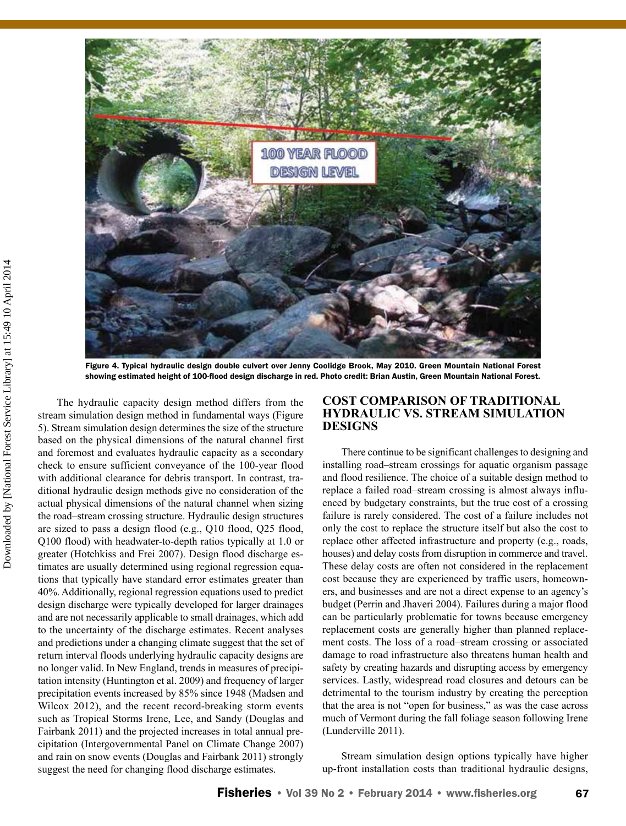

Figure 4. Typical hydraulic design double culvert over Jenny Coolidge Brook, May 2010. Green Mountain National Forest showing estimated height of 100-flood design discharge in red. Photo credit: Brian Austin, Green Mountain National Forest.

The hydraulic capacity design method differs from the stream simulation design method in fundamental ways (Figure 5). Stream simulation design determines the size of the structure based on the physical dimensions of the natural channel first and foremost and evaluates hydraulic capacity as a secondary check to ensure sufficient conveyance of the 100-year flood with additional clearance for debris transport. In contrast, traditional hydraulic design methods give no consideration of the actual physical dimensions of the natural channel when sizing the road–stream crossing structure. Hydraulic design structures are sized to pass a design flood (e.g., Q10 flood, Q25 flood, Q100 flood) with headwater-to-depth ratios typically at 1.0 or greater (Hotchkiss and Frei 2007). Design flood discharge estimates are usually determined using regional regression equations that typically have standard error estimates greater than 40%. Additionally, regional regression equations used to predict design discharge were typically developed for larger drainages and are not necessarily applicable to small drainages, which add to the uncertainty of the discharge estimates. Recent analyses and predictions under a changing climate suggest that the set of return interval floods underlying hydraulic capacity designs are no longer valid. In New England, trends in measures of precipitation intensity (Huntington et al. 2009) and frequency of larger precipitation events increased by 85% since 1948 (Madsen and Wilcox 2012), and the recent record-breaking storm events such as Tropical Storms Irene, Lee, and Sandy (Douglas and Fairbank 2011) and the projected increases in total annual precipitation (Intergovernmental Panel on Climate Change 2007) and rain on snow events (Douglas and Fairbank 2011) strongly suggest the need for changing flood discharge estimates.

#### **COST COMPARISON OF TRADITIONAL HYDRAULIC VS. STREAM SIMULATION DESIGNS**

There continue to be significant challenges to designing and installing road–stream crossings for aquatic organism passage and flood resilience. The choice of a suitable design method to replace a failed road–stream crossing is almost always influenced by budgetary constraints, but the true cost of a crossing failure is rarely considered. The cost of a failure includes not only the cost to replace the structure itself but also the cost to replace other affected infrastructure and property (e.g., roads, houses) and delay costs from disruption in commerce and travel. These delay costs are often not considered in the replacement cost because they are experienced by traffic users, homeowners, and businesses and are not a direct expense to an agency's budget (Perrin and Jhaveri 2004). Failures during a major flood can be particularly problematic for towns because emergency replacement costs are generally higher than planned replacement costs. The loss of a road–stream crossing or associated damage to road infrastructure also threatens human health and safety by creating hazards and disrupting access by emergency services. Lastly, widespread road closures and detours can be detrimental to the tourism industry by creating the perception that the area is not "open for business," as was the case across much of Vermont during the fall foliage season following Irene (Lunderville 2011).

Stream simulation design options typically have higher up-front installation costs than traditional hydraulic designs,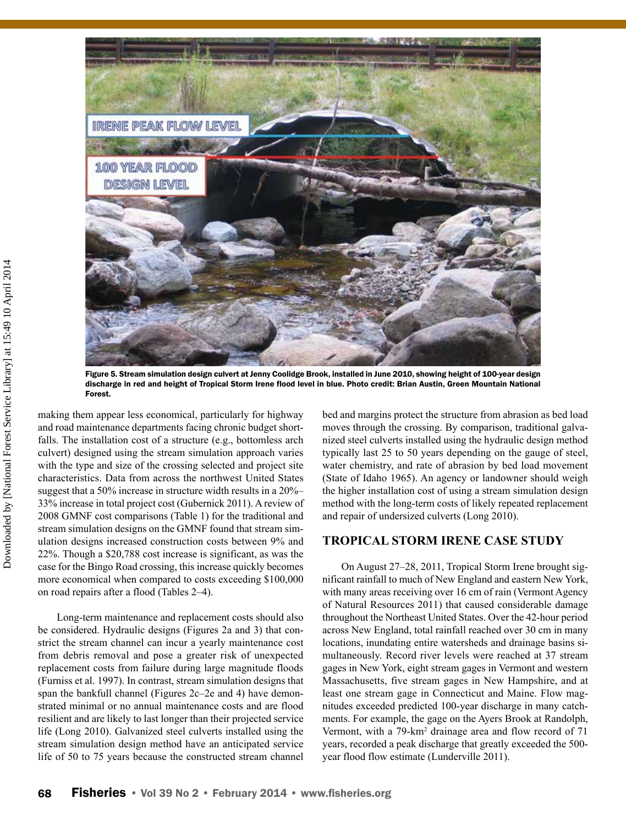

Figure 5. Stream simulation design culvert at Jenny Coolidge Brook, installed in June 2010, showing height of 100-year design discharge in red and height of Tropical Storm Irene flood level in blue. Photo credit: Brian Austin, Green Mountain National Forest.

making them appear less economical, particularly for highway and road maintenance departments facing chronic budget shortfalls. The installation cost of a structure (e.g., bottomless arch culvert) designed using the stream simulation approach varies with the type and size of the crossing selected and project site characteristics. Data from across the northwest United States suggest that a 50% increase in structure width results in a 20%– 33% increase in total project cost (Gubernick 2011). A review of 2008 GMNF cost comparisons (Table 1) for the traditional and stream simulation designs on the GMNF found that stream simulation designs increased construction costs between 9% and 22%. Though a \$20,788 cost increase is significant, as was the case for the Bingo Road crossing, this increase quickly becomes more economical when compared to costs exceeding \$100,000 on road repairs after a flood (Tables 2–4).

Long-term maintenance and replacement costs should also be considered. Hydraulic designs (Figures 2a and 3) that constrict the stream channel can incur a yearly maintenance cost from debris removal and pose a greater risk of unexpected replacement costs from failure during large magnitude floods (Furniss et al. 1997). In contrast, stream simulation designs that span the bankfull channel (Figures 2c–2e and 4) have demonstrated minimal or no annual maintenance costs and are flood resilient and are likely to last longer than their projected service life (Long 2010). Galvanized steel culverts installed using the stream simulation design method have an anticipated service life of 50 to 75 years because the constructed stream channel

bed and margins protect the structure from abrasion as bed load moves through the crossing. By comparison, traditional galvanized steel culverts installed using the hydraulic design method typically last 25 to 50 years depending on the gauge of steel, water chemistry, and rate of abrasion by bed load movement (State of Idaho 1965). An agency or landowner should weigh the higher installation cost of using a stream simulation design method with the long-term costs of likely repeated replacement and repair of undersized culverts (Long 2010).

#### **TROPICAL STORM IRENE CASE STUDY**

On August 27–28, 2011, Tropical Storm Irene brought significant rainfall to much of New England and eastern New York, with many areas receiving over 16 cm of rain (Vermont Agency of Natural Resources 2011) that caused considerable damage throughout the Northeast United States. Over the 42-hour period across New England, total rainfall reached over 30 cm in many locations, inundating entire watersheds and drainage basins simultaneously. Record river levels were reached at 37 stream gages in New York, eight stream gages in Vermont and western Massachusetts, five stream gages in New Hampshire, and at least one stream gage in Connecticut and Maine. Flow magnitudes exceeded predicted 100-year discharge in many catchments. For example, the gage on the Ayers Brook at Randolph, Vermont, with a 79-km<sup>2</sup> drainage area and flow record of 71 years, recorded a peak discharge that greatly exceeded the 500 year flood flow estimate (Lunderville 2011).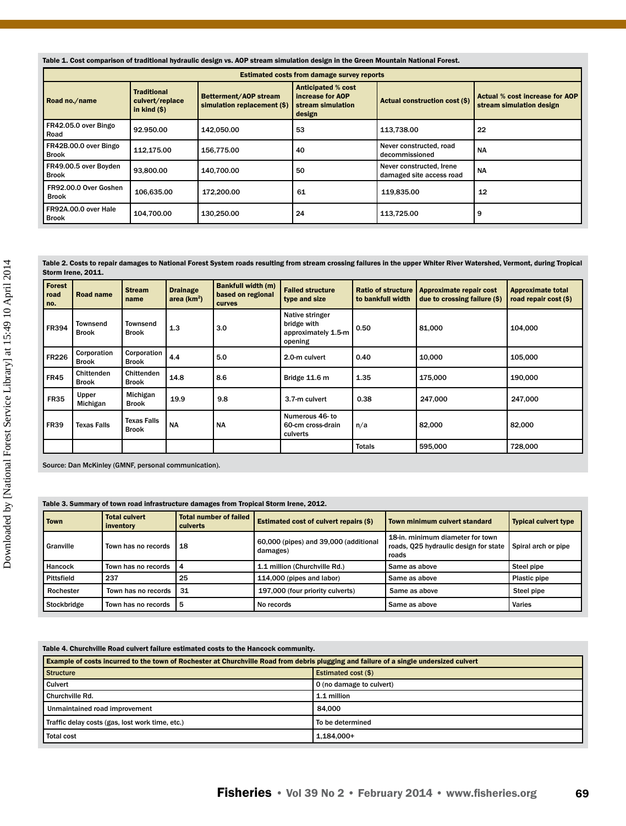#### Table 1. Cost comparison of traditional hydraulic design vs. AOP stream simulation design in the Green Mountain National Forest.

| <b>Estimated costs from damage survey reports</b>                       |                                              |                                                      |                                                                              |                                                      |                                                                   |
|-------------------------------------------------------------------------|----------------------------------------------|------------------------------------------------------|------------------------------------------------------------------------------|------------------------------------------------------|-------------------------------------------------------------------|
| <b>Traditional</b><br>Road no./name<br>culvert/replace<br>in kind $(S)$ |                                              | Betterment/AOP stream<br>simulation replacement (\$) | <b>Anticipated % cost</b><br>increase for AOP<br>stream simulation<br>design | <b>Actual construction cost (\$)</b>                 | <b>Actual % cost increase for AOP</b><br>stream simulation design |
| FR42.05.0 over Bingo<br>Road                                            | 92.950.00                                    | 142.050.00                                           | 53                                                                           | 113.738.00                                           | 22                                                                |
| FR42B.00.0 over Bingo<br><b>Brook</b>                                   | 112.175.00                                   | 156.775.00                                           | 40                                                                           | Never constructed, road<br>decommissioned            | <b>NA</b>                                                         |
| FR49.00.5 over Boyden<br><b>Brook</b>                                   | 93.800.00                                    | 140,700.00                                           | 50                                                                           | Never constructed, Irene<br>damaged site access road | <b>NA</b>                                                         |
| FR92.00.0 Over Goshen<br><b>Brook</b>                                   | 106.635.00<br>172.200.00<br>61<br>119.835.00 |                                                      |                                                                              | 12                                                   |                                                                   |
| FR92A.00.0 over Hale<br><b>Brook</b>                                    | 104.700.00                                   | 130.250.00                                           | 24                                                                           | 113.725.00                                           |                                                                   |

Table 2. Costs to repair damages to National Forest System roads resulting from stream crossing failures in the upper Whiter River Watershed, Vermont, during Tropical Storm Irene, 2011.

| Forest<br>road<br>no. | Road name                       | <b>Stream</b><br>name              | <b>Drainage</b><br>area ( $km2$ ) | <b>Bankfull width (m)</b><br>based on regional<br>curves | <b>Failed structure</b><br>type and size                         | <b>Ratio of structure</b><br>to bankfull width | Approximate repair cost<br>due to crossing failure (\$) | <b>Approximate total</b><br>road repair cost (\$) |
|-----------------------|---------------------------------|------------------------------------|-----------------------------------|----------------------------------------------------------|------------------------------------------------------------------|------------------------------------------------|---------------------------------------------------------|---------------------------------------------------|
| <b>FR394</b>          | <b>Townsend</b><br><b>Brook</b> | Townsend<br><b>Brook</b>           | 1.3                               | 3.0                                                      | Native stringer<br>bridge with<br>approximately 1.5-m<br>opening | 0.50                                           | 81.000                                                  | 104.000                                           |
| <b>FR226</b>          | Corporation<br><b>Brook</b>     | Corporation<br><b>Brook</b>        | 4.4                               | 5.0                                                      | 2.0-m culvert                                                    | 0.40                                           | 10,000                                                  | 105,000                                           |
| <b>FR45</b>           | Chittenden<br><b>Brook</b>      | Chittenden<br><b>Brook</b>         | 14.8                              | 8.6                                                      | Bridge 11.6 m                                                    | 1.35                                           | 175,000                                                 | 190,000                                           |
| <b>FR35</b>           | Upper<br>Michigan               | Michigan<br>Brook                  | 19.9                              | 9.8                                                      | 3.7-m culvert                                                    | 0.38                                           | 247,000                                                 | 247,000                                           |
| <b>FR39</b>           | <b>Texas Falls</b>              | <b>Texas Falls</b><br><b>Brook</b> | <b>NA</b>                         | <b>NA</b>                                                | Numerous 46- to<br>60-cm cross-drain<br>culverts                 | n/a                                            | 82,000                                                  | 82,000                                            |
|                       |                                 |                                    |                                   |                                                          |                                                                  | <b>Totals</b>                                  | 595,000                                                 | 728,000                                           |

Source: Dan McKinley (GMNF, personal communication).

| Table 3. Summary of town road infrastructure damages from Tropical Storm Irene, 2012. |                                   |                                           |                                                   |                                                                                    |                             |
|---------------------------------------------------------------------------------------|-----------------------------------|-------------------------------------------|---------------------------------------------------|------------------------------------------------------------------------------------|-----------------------------|
| <b>Town</b>                                                                           | <b>Total culvert</b><br>inventory | <b>Total number of failed</b><br>culverts | <b>Estimated cost of culvert repairs (\$)</b>     | Town minimum culvert standard                                                      | <b>Typical culvert type</b> |
| Granville                                                                             | Town has no records               | l 18                                      | 60,000 (pipes) and 39,000 (additional<br>damages) | 18-in, minimum diameter for town<br>roads, Q25 hydraulic design for state<br>roads | Spiral arch or pipe         |
| <b>Hancock</b>                                                                        | Town has no records               | l 4                                       | 1.1 million (Churchville Rd.)                     | Same as above                                                                      | Steel pipe                  |
| Pittsfield                                                                            | 237                               | 25                                        | 114,000 (pipes and labor)                         | Same as above                                                                      | Plastic pipe                |
| Rochester                                                                             | Town has no records               | 31                                        | 197,000 (four priority culverts)                  | Same as above                                                                      | Steel pipe                  |
| Stockbridge                                                                           | Town has no records               | ۱5                                        | No records                                        | Same as above                                                                      | <b>Varies</b>               |

Table 4. Churchville Road culvert failure estimated costs to the Hancock community.

| Example of costs incurred to the town of Rochester at Churchville Road from debris plugging and failure of a single undersized culvert |                            |  |  |
|----------------------------------------------------------------------------------------------------------------------------------------|----------------------------|--|--|
| <b>Structure</b>                                                                                                                       | <b>Estimated cost (\$)</b> |  |  |
| Culvert                                                                                                                                | 0 (no damage to culvert)   |  |  |
| Churchville Rd.                                                                                                                        | 1.1 million                |  |  |
| Unmaintained road improvement                                                                                                          | 84.000                     |  |  |
| Traffic delay costs (gas, lost work time, etc.)                                                                                        | To be determined           |  |  |
| <b>Total cost</b>                                                                                                                      | 1.184.000+                 |  |  |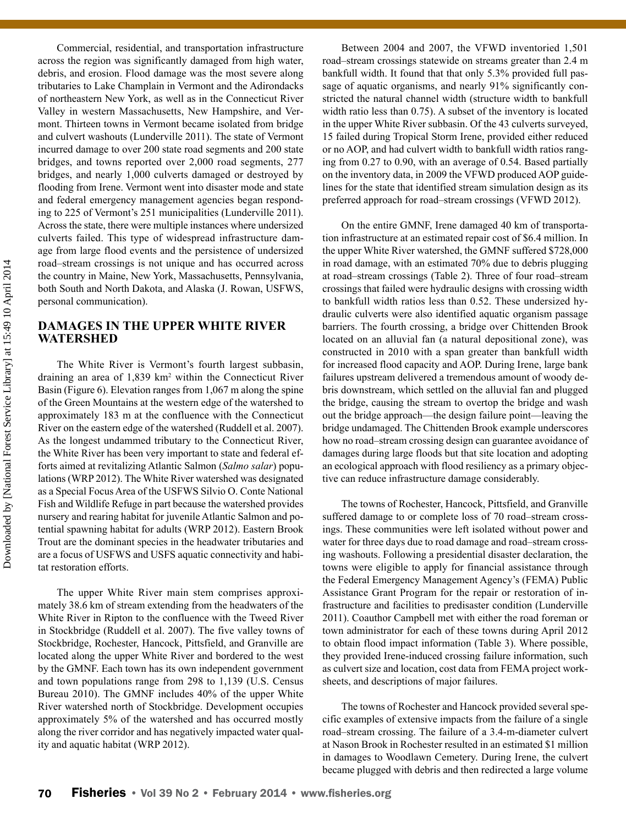Commercial, residential, and transportation infrastructure across the region was significantly damaged from high water, debris, and erosion. Flood damage was the most severe along tributaries to Lake Champlain in Vermont and the Adirondacks of northeastern New York, as well as in the Connecticut River Valley in western Massachusetts, New Hampshire, and Vermont. Thirteen towns in Vermont became isolated from bridge and culvert washouts (Lunderville 2011). The state of Vermont incurred damage to over 200 state road segments and 200 state bridges, and towns reported over 2,000 road segments, 277 bridges, and nearly 1,000 culverts damaged or destroyed by flooding from Irene. Vermont went into disaster mode and state and federal emergency management agencies began responding to 225 of Vermont's 251 municipalities (Lunderville 2011). Across the state, there were multiple instances where undersized culverts failed. This type of widespread infrastructure damage from large flood events and the persistence of undersized road–stream crossings is not unique and has occurred across the country in Maine, New York, Massachusetts, Pennsylvania, both South and North Dakota, and Alaska (J. Rowan, USFWS, personal communication).

#### **DAMAGES IN THE UPPER WHITE RIVER WATERSHED**

The White River is Vermont's fourth largest subbasin, draining an area of 1,839 km<sup>2</sup> within the Connecticut River Basin (Figure 6). Elevation ranges from 1,067 m along the spine of the Green Mountains at the western edge of the watershed to approximately 183 m at the confluence with the Connecticut River on the eastern edge of the watershed (Ruddell et al. 2007). As the longest undammed tributary to the Connecticut River, the White River has been very important to state and federal efforts aimed at revitalizing Atlantic Salmon (*Salmo salar*) populations (WRP 2012). The White River watershed was designated as a Special Focus Area of the USFWS Silvio O. Conte National Fish and Wildlife Refuge in part because the watershed provides nursery and rearing habitat for juvenile Atlantic Salmon and potential spawning habitat for adults (WRP 2012). Eastern Brook Trout are the dominant species in the headwater tributaries and are a focus of USFWS and USFS aquatic connectivity and habitat restoration efforts.

The upper White River main stem comprises approximately 38.6 km of stream extending from the headwaters of the White River in Ripton to the confluence with the Tweed River in Stockbridge (Ruddell et al. 2007). The five valley towns of Stockbridge, Rochester, Hancock, Pittsfield, and Granville are located along the upper White River and bordered to the west by the GMNF. Each town has its own independent government and town populations range from 298 to 1,139 (U.S. Census Bureau 2010). The GMNF includes 40% of the upper White River watershed north of Stockbridge. Development occupies approximately 5% of the watershed and has occurred mostly along the river corridor and has negatively impacted water quality and aquatic habitat (WRP 2012).

Between 2004 and 2007, the VFWD inventoried 1,501 road–stream crossings statewide on streams greater than 2.4 m bankfull width. It found that that only 5.3% provided full passage of aquatic organisms, and nearly 91% significantly constricted the natural channel width (structure width to bankfull width ratio less than 0.75). A subset of the inventory is located in the upper White River subbasin. Of the 43 culverts surveyed, 15 failed during Tropical Storm Irene, provided either reduced or no AOP, and had culvert width to bankfull width ratios ranging from 0.27 to 0.90, with an average of 0.54. Based partially on the inventory data, in 2009 the VFWD produced AOP guidelines for the state that identified stream simulation design as its preferred approach for road–stream crossings (VFWD 2012).

On the entire GMNF, Irene damaged 40 km of transportation infrastructure at an estimated repair cost of \$6.4 million. In the upper White River watershed, the GMNF suffered \$728,000 in road damage, with an estimated 70% due to debris plugging at road–stream crossings (Table 2). Three of four road–stream crossings that failed were hydraulic designs with crossing width to bankfull width ratios less than 0.52. These undersized hydraulic culverts were also identified aquatic organism passage barriers. The fourth crossing, a bridge over Chittenden Brook located on an alluvial fan (a natural depositional zone), was constructed in 2010 with a span greater than bankfull width for increased flood capacity and AOP. During Irene, large bank failures upstream delivered a tremendous amount of woody debris downstream, which settled on the alluvial fan and plugged the bridge, causing the stream to overtop the bridge and wash out the bridge approach—the design failure point—leaving the bridge undamaged. The Chittenden Brook example underscores how no road–stream crossing design can guarantee avoidance of damages during large floods but that site location and adopting an ecological approach with flood resiliency as a primary objective can reduce infrastructure damage considerably.

The towns of Rochester, Hancock, Pittsfield, and Granville suffered damage to or complete loss of 70 road–stream crossings. These communities were left isolated without power and water for three days due to road damage and road–stream crossing washouts. Following a presidential disaster declaration, the towns were eligible to apply for financial assistance through the Federal Emergency Management Agency's (FEMA) Public Assistance Grant Program for the repair or restoration of infrastructure and facilities to predisaster condition (Lunderville 2011). Coauthor Campbell met with either the road foreman or town administrator for each of these towns during April 2012 to obtain flood impact information (Table 3). Where possible, they provided Irene-induced crossing failure information, such as culvert size and location, cost data from FEMA project worksheets, and descriptions of major failures.

The towns of Rochester and Hancock provided several specific examples of extensive impacts from the failure of a single road–stream crossing. The failure of a 3.4-m-diameter culvert at Nason Brook in Rochester resulted in an estimated \$1 million in damages to Woodlawn Cemetery. During Irene, the culvert became plugged with debris and then redirected a large volume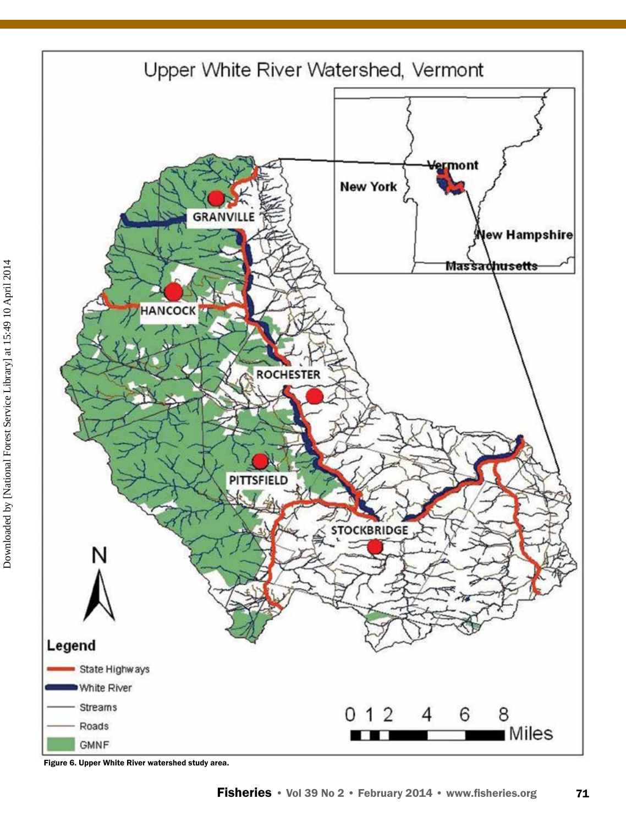

Figure 6. Upper White River watershed study area.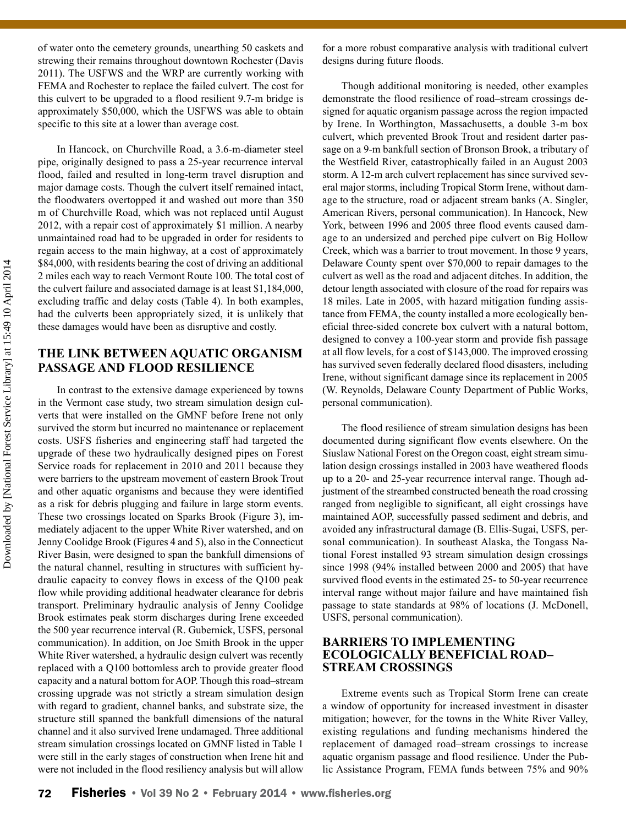of water onto the cemetery grounds, unearthing 50 caskets and strewing their remains throughout downtown Rochester (Davis 2011). The USFWS and the WRP are currently working with FEMA and Rochester to replace the failed culvert. The cost for this culvert to be upgraded to a flood resilient 9.7-m bridge is approximately \$50,000, which the USFWS was able to obtain specific to this site at a lower than average cost.

In Hancock, on Churchville Road, a 3.6-m-diameter steel pipe, originally designed to pass a 25-year recurrence interval flood, failed and resulted in long-term travel disruption and major damage costs. Though the culvert itself remained intact, the floodwaters overtopped it and washed out more than 350 m of Churchville Road, which was not replaced until August 2012, with a repair cost of approximately \$1 million. A nearby unmaintained road had to be upgraded in order for residents to regain access to the main highway, at a cost of approximately \$84,000, with residents bearing the cost of driving an additional 2 miles each way to reach Vermont Route 100. The total cost of the culvert failure and associated damage is at least \$1,184,000, excluding traffic and delay costs (Table 4). In both examples, had the culverts been appropriately sized, it is unlikely that these damages would have been as disruptive and costly.

#### **THE LINK BETWEEN AQUATIC ORGANISM PASSAGE AND FLOOD RESILIENCE**

In contrast to the extensive damage experienced by towns in the Vermont case study, two stream simulation design culverts that were installed on the GMNF before Irene not only survived the storm but incurred no maintenance or replacement costs. USFS fisheries and engineering staff had targeted the upgrade of these two hydraulically designed pipes on Forest Service roads for replacement in 2010 and 2011 because they were barriers to the upstream movement of eastern Brook Trout and other aquatic organisms and because they were identified as a risk for debris plugging and failure in large storm events. These two crossings located on Sparks Brook (Figure 3), immediately adjacent to the upper White River watershed, and on Jenny Coolidge Brook (Figures 4 and 5), also in the Connecticut River Basin, were designed to span the bankfull dimensions of the natural channel, resulting in structures with sufficient hydraulic capacity to convey flows in excess of the Q100 peak flow while providing additional headwater clearance for debris transport. Preliminary hydraulic analysis of Jenny Coolidge Brook estimates peak storm discharges during Irene exceeded the 500 year recurrence interval (R. Gubernick, USFS, personal communication). In addition, on Joe Smith Brook in the upper White River watershed, a hydraulic design culvert was recently replaced with a Q100 bottomless arch to provide greater flood capacity and a natural bottom for AOP. Though this road–stream crossing upgrade was not strictly a stream simulation design with regard to gradient, channel banks, and substrate size, the structure still spanned the bankfull dimensions of the natural channel and it also survived Irene undamaged. Three additional stream simulation crossings located on GMNF listed in Table 1 were still in the early stages of construction when Irene hit and were not included in the flood resiliency analysis but will allow

for a more robust comparative analysis with traditional culvert designs during future floods.

Though additional monitoring is needed, other examples demonstrate the flood resilience of road–stream crossings designed for aquatic organism passage across the region impacted by Irene. In Worthington, Massachusetts, a double 3-m box culvert, which prevented Brook Trout and resident darter passage on a 9-m bankfull section of Bronson Brook, a tributary of the Westfield River, catastrophically failed in an August 2003 storm. A 12-m arch culvert replacement has since survived several major storms, including Tropical Storm Irene, without damage to the structure, road or adjacent stream banks (A. Singler, American Rivers, personal communication). In Hancock, New York, between 1996 and 2005 three flood events caused damage to an undersized and perched pipe culvert on Big Hollow Creek, which was a barrier to trout movement. In those 9 years, Delaware County spent over \$70,000 to repair damages to the culvert as well as the road and adjacent ditches. In addition, the detour length associated with closure of the road for repairs was 18 miles. Late in 2005, with hazard mitigation funding assistance from FEMA, the county installed a more ecologically beneficial three-sided concrete box culvert with a natural bottom, designed to convey a 100-year storm and provide fish passage at all flow levels, for a cost of \$143,000. The improved crossing has survived seven federally declared flood disasters, including Irene, without significant damage since its replacement in 2005 (W. Reynolds, Delaware County Department of Public Works, personal communication).

The flood resilience of stream simulation designs has been documented during significant flow events elsewhere. On the Siuslaw National Forest on the Oregon coast, eight stream simulation design crossings installed in 2003 have weathered floods up to a 20- and 25-year recurrence interval range. Though adjustment of the streambed constructed beneath the road crossing ranged from negligible to significant, all eight crossings have maintained AOP, successfully passed sediment and debris, and avoided any infrastructural damage (B. Ellis-Sugai, USFS, personal communication). In southeast Alaska, the Tongass National Forest installed 93 stream simulation design crossings since 1998 (94% installed between 2000 and 2005) that have survived flood events in the estimated 25- to 50-year recurrence interval range without major failure and have maintained fish passage to state standards at 98% of locations (J. McDonell, USFS, personal communication).

#### **BARRIERS TO IMPLEMENTING ECOLOGICALLY BENEFICIAL ROAD– STREAM CROSSINGS**

Extreme events such as Tropical Storm Irene can create a window of opportunity for increased investment in disaster mitigation; however, for the towns in the White River Valley, existing regulations and funding mechanisms hindered the replacement of damaged road–stream crossings to increase aquatic organism passage and flood resilience. Under the Public Assistance Program, FEMA funds between 75% and 90%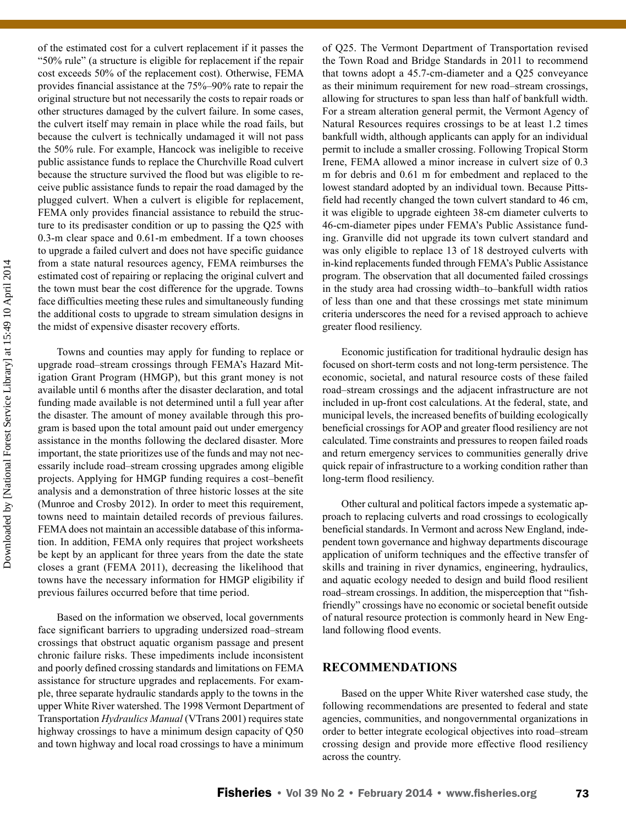of the estimated cost for a culvert replacement if it passes the "50% rule" (a structure is eligible for replacement if the repair cost exceeds 50% of the replacement cost). Otherwise, FEMA provides financial assistance at the 75%–90% rate to repair the original structure but not necessarily the costs to repair roads or other structures damaged by the culvert failure. In some cases, the culvert itself may remain in place while the road fails, but because the culvert is technically undamaged it will not pass the 50% rule. For example, Hancock was ineligible to receive public assistance funds to replace the Churchville Road culvert because the structure survived the flood but was eligible to receive public assistance funds to repair the road damaged by the plugged culvert. When a culvert is eligible for replacement, FEMA only provides financial assistance to rebuild the structure to its predisaster condition or up to passing the Q25 with 0.3-m clear space and 0.61-m embedment. If a town chooses to upgrade a failed culvert and does not have specific guidance from a state natural resources agency, FEMA reimburses the estimated cost of repairing or replacing the original culvert and the town must bear the cost difference for the upgrade. Towns face difficulties meeting these rules and simultaneously funding the additional costs to upgrade to stream simulation designs in the midst of expensive disaster recovery efforts.

Towns and counties may apply for funding to replace or upgrade road–stream crossings through FEMA's Hazard Mitigation Grant Program (HMGP), but this grant money is not available until 6 months after the disaster declaration, and total funding made available is not determined until a full year after the disaster. The amount of money available through this program is based upon the total amount paid out under emergency assistance in the months following the declared disaster. More important, the state prioritizes use of the funds and may not necessarily include road–stream crossing upgrades among eligible projects. Applying for HMGP funding requires a cost–benefit analysis and a demonstration of three historic losses at the site (Munroe and Crosby 2012). In order to meet this requirement, towns need to maintain detailed records of previous failures. FEMA does not maintain an accessible database of this information. In addition, FEMA only requires that project worksheets be kept by an applicant for three years from the date the state closes a grant (FEMA 2011), decreasing the likelihood that towns have the necessary information for HMGP eligibility if previous failures occurred before that time period.

Based on the information we observed, local governments face significant barriers to upgrading undersized road–stream crossings that obstruct aquatic organism passage and present chronic failure risks. These impediments include inconsistent and poorly defined crossing standards and limitations on FEMA assistance for structure upgrades and replacements. For example, three separate hydraulic standards apply to the towns in the upper White River watershed. The 1998 Vermont Department of Transportation *Hydraulics Manual* (VTrans 2001) requires state highway crossings to have a minimum design capacity of Q50 and town highway and local road crossings to have a minimum

of Q25. The Vermont Department of Transportation revised the Town Road and Bridge Standards in 2011 to recommend that towns adopt a 45.7-cm-diameter and a Q25 conveyance as their minimum requirement for new road–stream crossings, allowing for structures to span less than half of bankfull width. For a stream alteration general permit, the Vermont Agency of Natural Resources requires crossings to be at least 1.2 times bankfull width, although applicants can apply for an individual permit to include a smaller crossing. Following Tropical Storm Irene, FEMA allowed a minor increase in culvert size of 0.3 m for debris and 0.61 m for embedment and replaced to the lowest standard adopted by an individual town. Because Pittsfield had recently changed the town culvert standard to 46 cm, it was eligible to upgrade eighteen 38-cm diameter culverts to 46-cm-diameter pipes under FEMA's Public Assistance funding. Granville did not upgrade its town culvert standard and was only eligible to replace 13 of 18 destroyed culverts with in-kind replacements funded through FEMA's Public Assistance program. The observation that all documented failed crossings in the study area had crossing width–to–bankfull width ratios of less than one and that these crossings met state minimum criteria underscores the need for a revised approach to achieve greater flood resiliency.

Economic justification for traditional hydraulic design has focused on short-term costs and not long-term persistence. The economic, societal, and natural resource costs of these failed road–stream crossings and the adjacent infrastructure are not included in up-front cost calculations. At the federal, state, and municipal levels, the increased benefits of building ecologically beneficial crossings for AOP and greater flood resiliency are not calculated. Time constraints and pressures to reopen failed roads and return emergency services to communities generally drive quick repair of infrastructure to a working condition rather than long-term flood resiliency.

Other cultural and political factors impede a systematic approach to replacing culverts and road crossings to ecologically beneficial standards. In Vermont and across New England, independent town governance and highway departments discourage application of uniform techniques and the effective transfer of skills and training in river dynamics, engineering, hydraulics, and aquatic ecology needed to design and build flood resilient road–stream crossings. In addition, the misperception that "fishfriendly" crossings have no economic or societal benefit outside of natural resource protection is commonly heard in New England following flood events.

#### **RECOMMENDATIONS**

Based on the upper White River watershed case study, the following recommendations are presented to federal and state agencies, communities, and nongovernmental organizations in order to better integrate ecological objectives into road–stream crossing design and provide more effective flood resiliency across the country.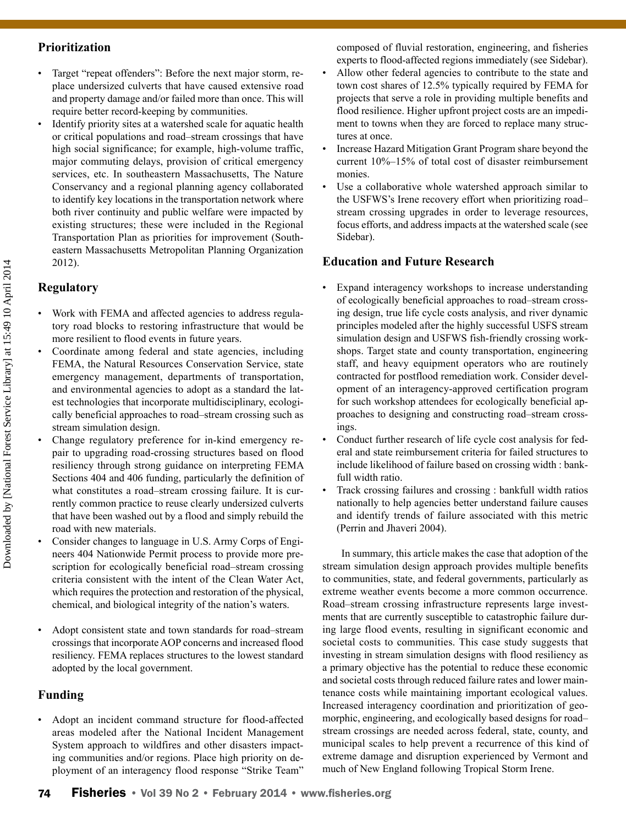#### **Prioritization**

- Target "repeat offenders": Before the next major storm, replace undersized culverts that have caused extensive road and property damage and/or failed more than once. This will require better record-keeping by communities.
- Identify priority sites at a watershed scale for aquatic health or critical populations and road–stream crossings that have high social significance; for example, high-volume traffic, major commuting delays, provision of critical emergency services, etc. In southeastern Massachusetts, The Nature Conservancy and a regional planning agency collaborated to identify key locations in the transportation network where both river continuity and public welfare were impacted by existing structures; these were included in the Regional Transportation Plan as priorities for improvement (Southeastern Massachusetts Metropolitan Planning Organization 2012).

## **Regulatory**

- Work with FEMA and affected agencies to address regulatory road blocks to restoring infrastructure that would be more resilient to flood events in future years.
- Coordinate among federal and state agencies, including FEMA, the Natural Resources Conservation Service, state emergency management, departments of transportation, and environmental agencies to adopt as a standard the latest technologies that incorporate multidisciplinary, ecologically beneficial approaches to road–stream crossing such as stream simulation design.
- Change regulatory preference for in-kind emergency repair to upgrading road-crossing structures based on flood resiliency through strong guidance on interpreting FEMA Sections 404 and 406 funding, particularly the definition of what constitutes a road–stream crossing failure. It is currently common practice to reuse clearly undersized culverts that have been washed out by a flood and simply rebuild the road with new materials.
- Consider changes to language in U.S. Army Corps of Engineers 404 Nationwide Permit process to provide more prescription for ecologically beneficial road–stream crossing criteria consistent with the intent of the Clean Water Act, which requires the protection and restoration of the physical, chemical, and biological integrity of the nation's waters.
- Adopt consistent state and town standards for road–stream crossings that incorporate AOP concerns and increased flood resiliency. FEMA replaces structures to the lowest standard adopted by the local government.

#### **Funding**

Adopt an incident command structure for flood-affected areas modeled after the National Incident Management System approach to wildfires and other disasters impacting communities and/or regions. Place high priority on deployment of an interagency flood response "Strike Team" composed of fluvial restoration, engineering, and fisheries experts to flood-affected regions immediately (see Sidebar).

- Allow other federal agencies to contribute to the state and town cost shares of 12.5% typically required by FEMA for projects that serve a role in providing multiple benefits and flood resilience. Higher upfront project costs are an impediment to towns when they are forced to replace many structures at once.
- Increase Hazard Mitigation Grant Program share beyond the current 10%–15% of total cost of disaster reimbursement monies.
- Use a collaborative whole watershed approach similar to the USFWS's Irene recovery effort when prioritizing road– stream crossing upgrades in order to leverage resources, focus efforts, and address impacts at the watershed scale (see Sidebar).

#### **Education and Future Research**

- Expand interagency workshops to increase understanding of ecologically beneficial approaches to road–stream crossing design, true life cycle costs analysis, and river dynamic principles modeled after the highly successful USFS stream simulation design and USFWS fish-friendly crossing workshops. Target state and county transportation, engineering staff, and heavy equipment operators who are routinely contracted for postflood remediation work. Consider development of an interagency-approved certification program for such workshop attendees for ecologically beneficial approaches to designing and constructing road–stream crossings.
- Conduct further research of life cycle cost analysis for federal and state reimbursement criteria for failed structures to include likelihood of failure based on crossing width : bankfull width ratio.
- Track crossing failures and crossing : bankfull width ratios nationally to help agencies better understand failure causes and identify trends of failure associated with this metric (Perrin and Jhaveri 2004).

In summary, this article makes the case that adoption of the stream simulation design approach provides multiple benefits to communities, state, and federal governments, particularly as extreme weather events become a more common occurrence. Road–stream crossing infrastructure represents large investments that are currently susceptible to catastrophic failure during large flood events, resulting in significant economic and societal costs to communities. This case study suggests that investing in stream simulation designs with flood resiliency as a primary objective has the potential to reduce these economic and societal costs through reduced failure rates and lower maintenance costs while maintaining important ecological values. Increased interagency coordination and prioritization of geomorphic, engineering, and ecologically based designs for road– stream crossings are needed across federal, state, county, and municipal scales to help prevent a recurrence of this kind of extreme damage and disruption experienced by Vermont and much of New England following Tropical Storm Irene.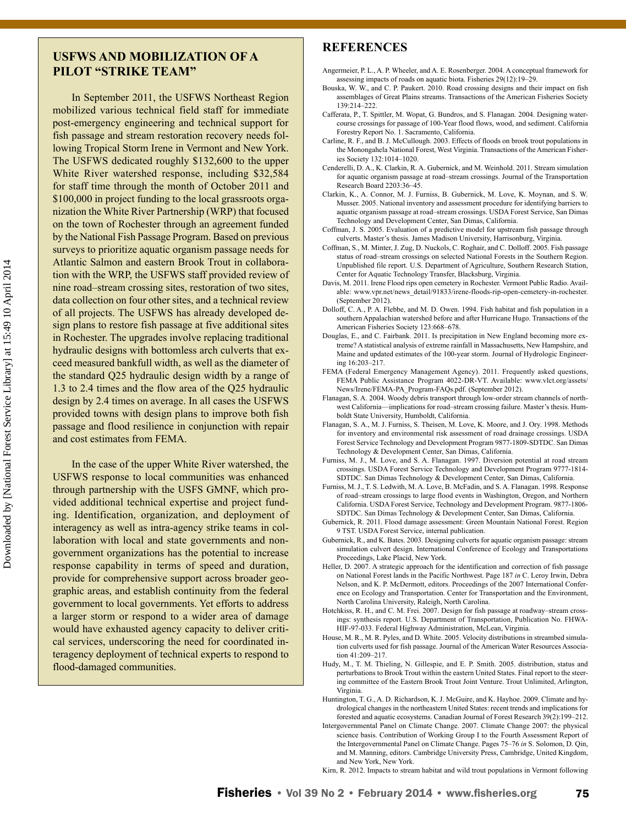#### **USFWS and mobilization of a Pilot "Strike Team"**

Downloaded by [National Forest Service Library] at 15:49 10 April 2014 Downloaded by [National Forest Service Library] at 15:49 10 April 2014

In September 2011, the USFWS Northeast Region mobilized various technical field staff for immediate post-emergency engineering and technical support for fish passage and stream restoration recovery needs following Tropical Storm Irene in Vermont and New York. The USFWS dedicated roughly \$132,600 to the upper White River watershed response, including \$32,584 for staff time through the month of October 2011 and \$100,000 in project funding to the local grassroots organization the White River Partnership (WRP) that focused on the town of Rochester through an agreement funded by the National Fish Passage Program. Based on previous surveys to prioritize aquatic organism passage needs for Atlantic Salmon and eastern Brook Trout in collaboration with the WRP, the USFWS staff provided review of nine road–stream crossing sites, restoration of two sites, data collection on four other sites, and a technical review of all projects. The USFWS has already developed design plans to restore fish passage at five additional sites in Rochester. The upgrades involve replacing traditional hydraulic designs with bottomless arch culverts that exceed measured bankfull width, as well as the diameter of the standard Q25 hydraulic design width by a range of 1.3 to 2.4 times and the flow area of the Q25 hydraulic design by 2.4 times on average. In all cases the USFWS provided towns with design plans to improve both fish passage and flood resilience in conjunction with repair and cost estimates from FEMA.

In the case of the upper White River watershed, the USFWS response to local communities was enhanced through partnership with the USFS GMNF, which provided additional technical expertise and project funding. Identification, organization, and deployment of interagency as well as intra-agency strike teams in collaboration with local and state governments and nongovernment organizations has the potential to increase response capability in terms of speed and duration, provide for comprehensive support across broader geographic areas, and establish continuity from the federal government to local governments. Yet efforts to address a larger storm or respond to a wider area of damage would have exhausted agency capacity to deliver critical services, underscoring the need for coordinated interagency deployment of technical experts to respond to flood-damaged communities.

#### **REFERENCES**

- Angermeier, P. L., A. P. Wheeler, and A. E. Rosenberger. 2004. A conceptual framework for assessing impacts of roads on aquatic biota. Fisheries 29(12):19–29.
- Bouska, W. W., and C. P. Paukert. 2010. Road crossing designs and their impact on fish assemblages of Great Plains streams. Transactions of the American Fisheries Society 139:214–222.
- Cafferata, P., T. Spittler, M. Wopat, G. Bundros, and S. Flanagan. 2004. Designing watercourse crossings for passage of 100-Year flood flows, wood, and sediment. California Forestry Report No. 1. Sacramento, California.
- Carline, R. F., and B. J. McCullough. 2003. Effects of floods on brook trout populations in the Monongahela National Forest, West Virginia. Transactions of the American Fisheries Society 132:1014–1020.
- Cenderelli, D. A., K. Clarkin, R. A. Gubernick, and M. Weinhold. 2011. Stream simulation for aquatic organism passage at road–stream crossings. Journal of the Transportation Research Board 2203:36–45.
- Clarkin, K., A. Connor, M. J. Furniss, B. Gubernick, M. Love, K. Moynan, and S. W. Musser. 2005. National inventory and assessment procedure for identifying barriers to aquatic organism passage at road–stream crossings. USDA Forest Service, San Dimas Technology and Development Center, San Dimas, California.
- Coffman, J. S. 2005. Evaluation of a predictive model for upstream fish passage through culverts. Master's thesis. James Madison University, Harrisonburg, Virginia.
- Coffman, S., M. Minter, J. Zug, D. Nuckols, C. Roghair, and C. Dolloff. 2005. Fish passage status of road–stream crossings on selected National Forests in the Southern Region. Unpublished file report. U.S. Department of Agriculture, Southern Research Station, Center for Aquatic Technology Transfer, Blacksburg, Virginia.
- Davis, M. 2011. Irene Flood rips open cemetery in Rochester. Vermont Public Radio. Available: www.vpr.net/news\_detail/91833/irene-floods-rip-open-cemetery-in-rochester. (September 2012).
- Dolloff, C. A., P. A. Flebbe, and M. D. Owen. 1994. Fish habitat and fish population in a southern Appalachian watershed before and after Hurricane Hugo. Transactions of the American Fisheries Society 123:668–678.
- Douglas, E., and C. Fairbank. 2011. Is precipitation in New England becoming more extreme? A statistical analysis of extreme rainfall in Massachusetts, New Hampshire, and Maine and updated estimates of the 100-year storm. Journal of Hydrologic Engineering 16:203–217.
- FEMA (Federal Emergency Management Agency). 2011. Frequently asked questions, FEMA Public Assistance Program 4022-DR-VT. Available: www.vlct.org/assets/ News/Irene/FEMA-PA\_Program-FAQs.pdf. (September 2012).
- Flanagan, S. A. 2004. Woody debris transport through low-order stream channels of northwest California—implications for road–stream crossing failure. Master's thesis. Humboldt State University, Humboldt, California.
- Flanagan, S. A., M. J. Furniss, S. Theisen, M. Love, K. Moore, and J. Ory. 1998. Methods for inventory and environmental risk assessment of road drainage crossings. USDA Forest Service Technology and Development Program 9877-1809-SDTDC. San Dimas Technology & Development Center, San Dimas, California.
- Furniss, M. J., M. Love, and S. A. Flanagan. 1997. Diversion potential at road stream crossings. USDA Forest Service Technology and Development Program 9777-1814- SDTDC. San Dimas Technology & Development Center, San Dimas, California.
- Furniss, M. J., T. S. Ledwith, M. A. Love, B. McFadin, and S. A. Flanagan. 1998. Response of road–stream crossings to large flood events in Washington, Oregon, and Northern California. USDA Forest Service, Technology and Development Program. 9877-1806- SDTDC. San Dimas Technology & Development Center, San Dimas, California.
- Gubernick, R. 2011. Flood damage assessment: Green Mountain National Forest. Region 9 TST. USDA Forest Service, internal publication.
- Gubernick, R., and K. Bates. 2003. Designing culverts for aquatic organism passage: stream simulation culvert design. International Conference of Ecology and Transportations Proceedings, Lake Placid, New York.
- Heller, D. 2007. A strategic approach for the identification and correction of fish passage on National Forest lands in the Pacific Northwest. Page 187 *in* C. Leroy Irwin, Debra Nelson, and K. P. McDermott, editors. Proceedings of the 2007 International Conference on Ecology and Transportation. Center for Transportation and the Environment, North Carolina University, Raleigh, North Carolina.
- Hotchkiss, R. H., and C. M. Frei. 2007. Design for fish passage at roadway–stream crossings: synthesis report. U.S. Department of Transportation, Publication No. FHWA-HIF-97-033. Federal Highway Administration, McLean, Virginia.
- House, M. R., M. R. Pyles, and D. White. 2005. Velocity distributions in streambed simulation culverts used for fish passage. Journal of the American Water Resources Association 41:209–217.
- Hudy, M., T. M. Thieling, N. Gillespie, and E. P. Smith. 2005. distribution, status and perturbations to Brook Trout within the eastern United States. Final report to the steering committee of the Eastern Brook Trout Joint Venture. Trout Unlimited, Arlington, Virginia.
- Huntington, T. G., A. D. Richardson, K. J. McGuire, and K. Hayhoe. 2009. Climate and hydrological changes in the northeastern United States: recent trends and implications for forested and aquatic ecosystems. Canadian Journal of Forest Research 39(2):199–212.
- Intergovernmental Panel on Climate Change. 2007. Climate Change 2007: the physical science basis. Contribution of Working Group I to the Fourth Assessment Report of the Intergovernmental Panel on Climate Change. Pages 75–76 *in* S. Solomon, D. Qin, and M. Manning, editors. Cambridge University Press, Cambridge, United Kingdom, and New York, New York.
- Kirn, R. 2012. Impacts to stream habitat and wild trout populations in Vermont following